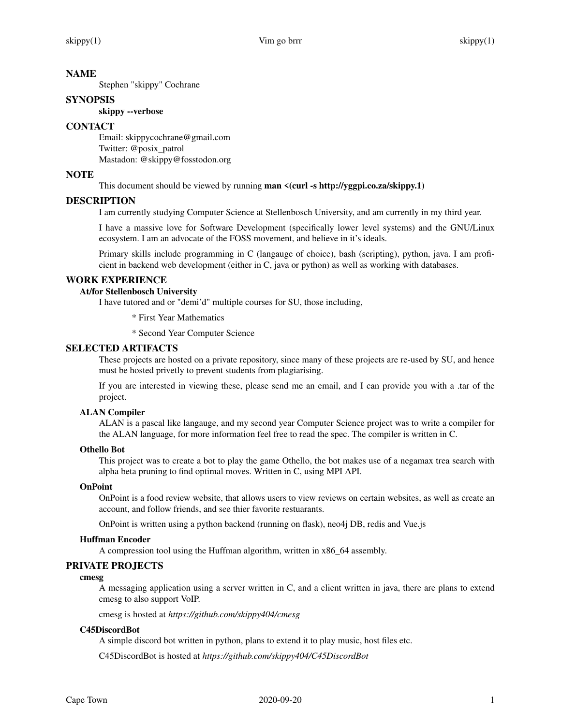## **NAME**

Stephen "skippy" Cochrane

## **SYNOPSIS**

# **skippy --verbose**

# **CONTACT**

Email: skippycochrane@gmail.com Twitter: @posix\_patrol Mastadon: @skippy@fosstodon.org

## **NOTE**

This document should be viewed by running **man <(curl -s http://yggpi.co.za/skippy.1)**

## **DESCRIPTION**

I am currently studying Computer Science at Stellenbosch University, and am currently in my third year.

I have a massive love for Software Development (specifically lower level systems) and the GNU/Linux ecosystem. I am an advocate of the FOSS movement, and believe in it's ideals.

Primary skills include programming in C (langauge of choice), bash (scripting), python, java. I am proficient in backend web development (either in C, java or python) as well as working with databases.

## **WORK EXPERIENCE**

# **At/for Stellenbosch University**

I have tutored and or "demi'd" multiple courses for SU, those including,

\* First Year Mathematics

\* Second Year Computer Science

## **SELECTED ARTIFACTS**

These projects are hosted on a private repository, since many of these projects are re-used by SU, and hence must be hosted privetly to prevent students from plagiarising.

If you are interested in viewing these, please send me an email, and I can provide you with a .tar of the project.

### **ALAN Compiler**

ALAN is a pascal like langauge, and my second year Computer Science project was to write a compiler for the ALAN language, for more information feel free to read the spec. The compiler is written in C.

### **Othello Bot**

This project was to create a bot to play the game Othello, the bot makes use of a negamax trea search with alpha beta pruning to find optimal moves. Written in C, using MPI API.

### **OnPoint**

OnPoint is a food review website, that allows users to view reviews on certain websites, as well as create an account, and follow friends, and see thier favorite restuarants.

OnPoint is written using a python backend (running on flask), neo4j DB, redis and Vue.js

### **Huffman Encoder**

A compression tool using the Huffman algorithm, written in x86\_64 assembly.

## **PRIVATE PROJECTS**

### **cmesg**

A messaging application using a server written in C, and a client written in java, there are plans to extend cmesg to also support VoIP.

cmesg is hosted at *https://github.com/skippy404/cmesg*

### **C45DiscordBot**

A simple discord bot written in python, plans to extend it to play music, host files etc.

C45DiscordBot is hosted at *https://github.com/skippy404/C45DiscordBot*